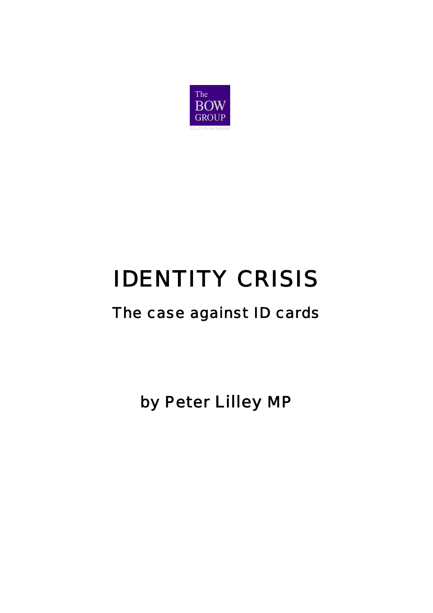

# IDENTITY CRISIS

## The case against ID cards

by Peter Lilley MP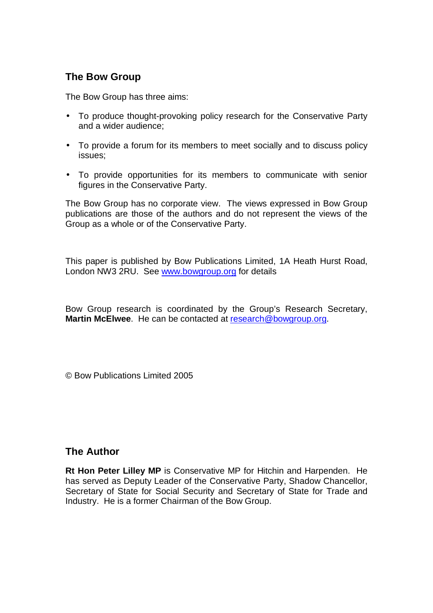### **The Bow Group**

The Bow Group has three aims:

- To produce thought-provoking policy research for the Conservative Party and a wider audience;
- To provide a forum for its members to meet socially and to discuss policy issues;
- To provide opportunities for its members to communicate with senior figures in the Conservative Party.

The Bow Group has no corporate view. The views expressed in Bow Group publications are those of the authors and do not represent the views of the Group as a whole or of the Conservative Party.

This paper is published by Bow Publications Limited, 1A Heath Hurst Road, London NW3 2RU. See [www.bowgroup.org](http://www.bowgroup.org) for details

Bow Group research is coordinated by the Group's Research Secretary, **Martin McElwee**. He can be contacted at [research@bowgroup.org](mailto:research@bowgroup.org).

© Bow Publications Limited 2005

#### **The Author**

**Rt Hon Peter Lilley MP** is Conservative MP for Hitchin and Harpenden. He has served as Deputy Leader of the Conservative Party, Shadow Chancellor, Secretary of State for Social Security and Secretary of State for Trade and Industry. He is a former Chairman of the Bow Group.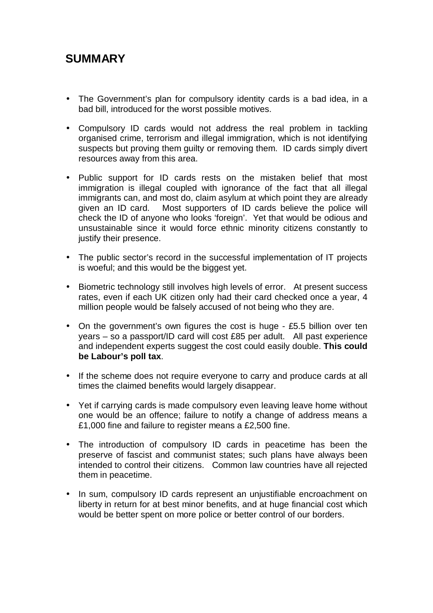## **SUMMARY**

- The Government's plan for compulsory identity cards is a bad idea, in a bad bill, introduced for the worst possible motives.
- Compulsory ID cards would not address the real problem in tackling organised crime, terrorism and illegal immigration, which is not identifying suspects but proving them guilty or removing them. ID cards simply divert resources away from this area.
- Public support for ID cards rests on the mistaken belief that most immigration is illegal coupled with ignorance of the fact that all illegal immigrants can, and most do, claim asylum at which point they are already given an ID card. Most supporters of ID cards believe the police will check the ID of anyone who looks 'foreign'. Yet that would be odious and unsustainable since it would force ethnic minority citizens constantly to justify their presence.
- The public sector's record in the successful implementation of IT projects is woeful; and this would be the biggest yet.
- Biometric technology still involves high levels of error. At present success rates, even if each UK citizen only had their card checked once a year, 4 million people would be falsely accused of not being who they are.
- On the government's own figures the cost is huge £5.5 billion over ten years – so a passport/ID card will cost £85 per adult. All past experience and independent experts suggest the cost could easily double. **This could be Labour's poll tax**.
- If the scheme does not require everyone to carry and produce cards at all times the claimed benefits would largely disappear.
- Yet if carrying cards is made compulsory even leaving leave home without one would be an offence; failure to notify a change of address means a £1,000 fine and failure to register means a £2,500 fine.
- The introduction of compulsory ID cards in peacetime has been the preserve of fascist and communist states; such plans have always been intended to control their citizens. Common law countries have all rejected them in peacetime.
- In sum, compulsory ID cards represent an unjustifiable encroachment on liberty in return for at best minor benefits, and at huge financial cost which would be better spent on more police or better control of our borders.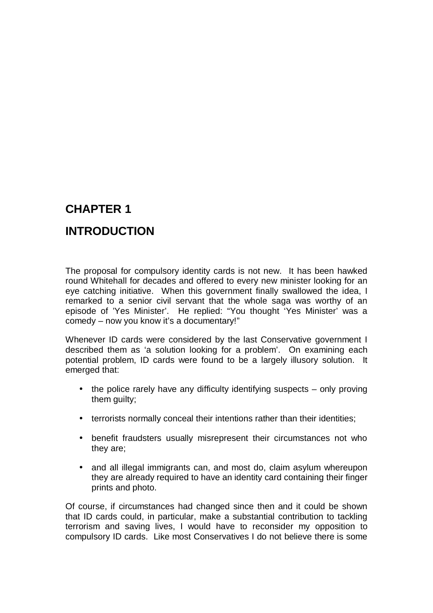## **INTRODUCTION**

The proposal for compulsory identity cards is not new. It has been hawked round Whitehall for decades and offered to every new minister looking for an eye catching initiative. When this government finally swallowed the idea, I remarked to a senior civil servant that the whole saga was worthy of an episode of 'Yes Minister'. He replied: "You thought 'Yes Minister' was a comedy – now you know it's a documentary!"

Whenever ID cards were considered by the last Conservative government I described them as 'a solution looking for a problem'. On examining each potential problem, ID cards were found to be a largely illusory solution. It emerged that:

- the police rarely have any difficulty identifying suspects only proving them guilty;
- terrorists normally conceal their intentions rather than their identities:
- benefit fraudsters usually misrepresent their circumstances not who they are;
- and all illegal immigrants can, and most do, claim asylum whereupon they are already required to have an identity card containing their finger prints and photo.

Of course, if circumstances had changed since then and it could be shown that ID cards could, in particular, make a substantial contribution to tackling terrorism and saving lives, I would have to reconsider my opposition to compulsory ID cards. Like most Conservatives I do not believe there is some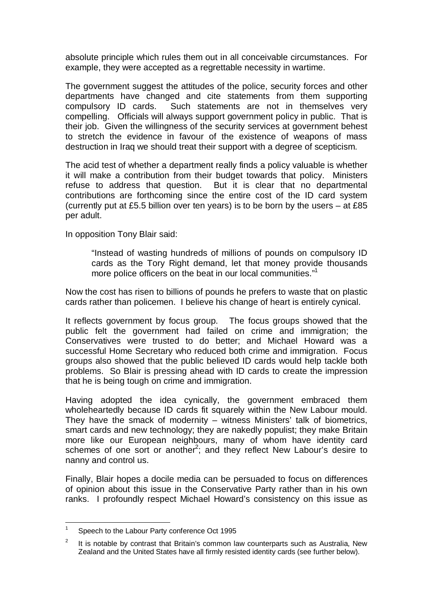absolute principle which rules them out in all conceivable circumstances. For example, they were accepted as a regrettable necessity in wartime.

The government suggest the attitudes of the police, security forces and other departments have changed and cite statements from them supporting compulsory ID cards. Such statements are not in themselves very compelling. Officials will always support government policy in public. That is their job. Given the willingness of the security services at government behest to stretch the evidence in favour of the existence of weapons of mass destruction in Iraq we should treat their support with a degree of scepticism.

The acid test of whether a department really finds a policy valuable is whether it will make a contribution from their budget towards that policy. Ministers refuse to address that question. But it is clear that no departmental contributions are forthcoming since the entire cost of the ID card system (currently put at £5.5 billion over ten years) is to be born by the users – at £85 per adult.

In opposition Tony Blair said:

"Instead of wasting hundreds of millions of pounds on compulsory ID cards as the Tory Right demand, let that money provide thousands more police officers on the beat in our local communities."<sup>1</sup>

Now the cost has risen to billions of pounds he prefers to waste that on plastic cards rather than policemen. I believe his change of heart is entirely cynical.

It reflects government by focus group. The focus groups showed that the public felt the government had failed on crime and immigration; the Conservatives were trusted to do better; and Michael Howard was a successful Home Secretary who reduced both crime and immigration. Focus groups also showed that the public believed ID cards would help tackle both problems. So Blair is pressing ahead with ID cards to create the impression that he is being tough on crime and immigration.

Having adopted the idea cynically, the government embraced them wholeheartedly because ID cards fit squarely within the New Labour mould. They have the smack of modernity – witness Ministers' talk of biometrics, smart cards and new technology; they are nakedly populist; they make Britain more like our European neighbours, many of whom have identity card schemes of one sort or another<sup>2</sup>; and they reflect New Labour's desire to nanny and control us.

Finally, Blair hopes a docile media can be persuaded to focus on differences of opinion about this issue in the Conservative Party rather than in his own ranks. I profoundly respect Michael Howard's consistency on this issue as

<sup>1</sup> Speech to the Labour Party conference Oct 1995

<sup>2</sup> It is notable by contrast that Britain's common law counterparts such as Australia, New Zealand and the United States have all firmly resisted identity cards (see further below).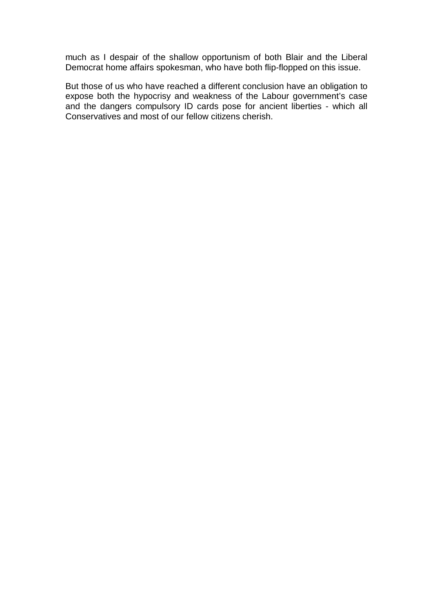much as I despair of the shallow opportunism of both Blair and the Liberal Democrat home affairs spokesman, who have both flip-flopped on this issue.

But those of us who have reached a different conclusion have an obligation to expose both the hypocrisy and weakness of the Labour government's case and the dangers compulsory ID cards pose for ancient liberties - which all Conservatives and most of our fellow citizens cherish.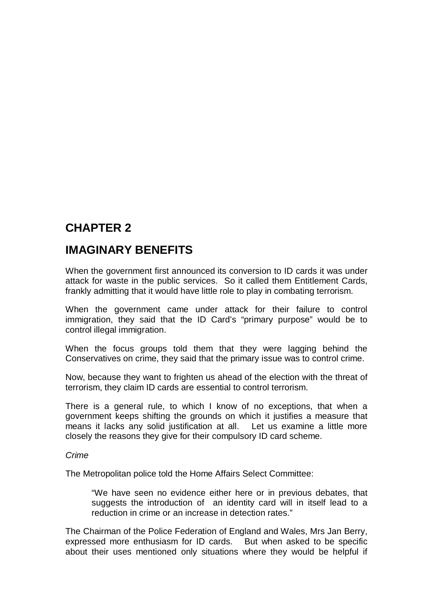## **IMAGINARY BENEFITS**

When the government first announced its conversion to ID cards it was under attack for waste in the public services. So it called them Entitlement Cards, frankly admitting that it would have little role to play in combating terrorism.

When the government came under attack for their failure to control immigration, they said that the ID Card's "primary purpose" would be to control illegal immigration.

When the focus groups told them that they were lagging behind the Conservatives on crime, they said that the primary issue was to control crime.

Now, because they want to frighten us ahead of the election with the threat of terrorism, they claim ID cards are essential to control terrorism.

There is a general rule, to which I know of no exceptions, that when a government keeps shifting the grounds on which it justifies a measure that means it lacks any solid justification at all. Let us examine a little more closely the reasons they give for their compulsory ID card scheme.

#### *Crime*

The Metropolitan police told the Home Affairs Select Committee:

"We have seen no evidence either here or in previous debates, that suggests the introduction of an identity card will in itself lead to a reduction in crime or an increase in detection rates."

The Chairman of the Police Federation of England and Wales, Mrs Jan Berry, expressed more enthusiasm for ID cards. But when asked to be specific about their uses mentioned only situations where they would be helpful if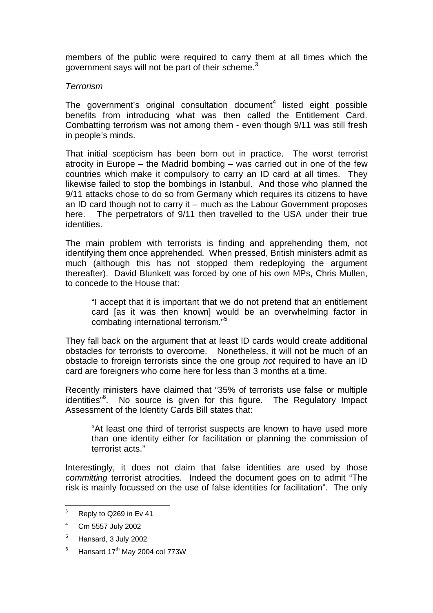members of the public were required to carry them at all times which the government says will not be part of their scheme. $3$ 

#### *Terrorism*

The government's original consultation document $4$  listed eight possible benefits from introducing what was then called the Entitlement Card. Combatting terrorism was not among them - even though 9/11 was still fresh in people's minds.

That initial scepticism has been born out in practice. The worst terrorist atrocity in Europe – the Madrid bombing – was carried out in one of the few countries which make it compulsory to carry an ID card at all times. They likewise failed to stop the bombings in Istanbul. And those who planned the 9/11 attacks chose to do so from Germany which requires its citizens to have an ID card though not to carry it – much as the Labour Government proposes here. The perpetrators of 9/11 then travelled to the USA under their true identities.

The main problem with terrorists is finding and apprehending them, not identifying them once apprehended. When pressed, British ministers admit as much (although this has not stopped them redeploying the argument thereafter). David Blunkett was forced by one of his own MPs, Chris Mullen, to concede to the House that:

"I accept that it is important that we do not pretend that an entitlement card [as it was then known] would be an overwhelming factor in combating international terrorism."<sup>5</sup>

They fall back on the argument that at least ID cards would create additional obstacles for terrorists to overcome. Nonetheless, it will not be much of an obstacle to froreign terrorists since the one group *not* required to have an ID card are foreigners who come here for less than 3 months at a time.

Recently ministers have claimed that "35% of terrorists use false or multiple identities"<sup>6</sup>. No source is given for this figure. The Regulatory Impact Assessment of the Identity Cards Bill states that:

"At least one third of terrorist suspects are known to have used more than one identity either for facilitation or planning the commission of terrorist acts."

Interestingly, it does not claim that false identities are used by those *committing* terrorist atrocities. Indeed the document goes on to admit "The risk is mainly focussed on the use of false identities for facilitation". The only

6 Hansard 17<sup>th</sup> May 2004 col 773W

 $3$  Reply to Q269 in Ev 41

<sup>4</sup> Cm 5557 July 2002

<sup>&</sup>lt;sup>5</sup> Hansard, 3 July 2002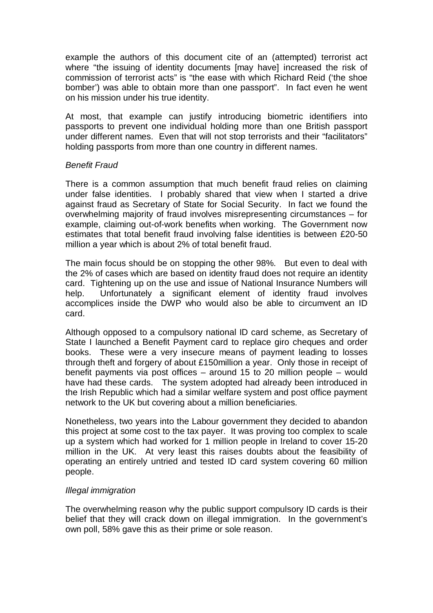example the authors of this document cite of an (attempted) terrorist act where "the issuing of identity documents [may have] increased the risk of commission of terrorist acts" is "the ease with which Richard Reid ('the shoe bomber') was able to obtain more than one passport". In fact even he went on his mission under his true identity.

At most, that example can justify introducing biometric identifiers into passports to prevent one individual holding more than one British passport under different names. Even that will not stop terrorists and their "facilitators" holding passports from more than one country in different names.

#### *Benefit Fraud*

There is a common assumption that much benefit fraud relies on claiming under false identities. I probably shared that view when I started a drive against fraud as Secretary of State for Social Security. In fact we found the overwhelming majority of fraud involves misrepresenting circumstances – for example, claiming out-of-work benefits when working. The Government now estimates that total benefit fraud involving false identities is between £20-50 million a year which is about 2% of total benefit fraud.

The main focus should be on stopping the other 98%. But even to deal with the 2% of cases which are based on identity fraud does not require an identity card. Tightening up on the use and issue of National Insurance Numbers will help. Unfortunately a significant element of identity fraud involves accomplices inside the DWP who would also be able to circumvent an ID card.

Although opposed to a compulsory national ID card scheme, as Secretary of State I launched a Benefit Payment card to replace giro cheques and order books. These were a very insecure means of payment leading to losses through theft and forgery of about £150million a year. Only those in receipt of benefit payments via post offices – around 15 to 20 million people – would have had these cards. The system adopted had already been introduced in the Irish Republic which had a similar welfare system and post office payment network to the UK but covering about a million beneficiaries.

Nonetheless, two years into the Labour government they decided to abandon this project at some cost to the tax payer. It was proving too complex to scale up a system which had worked for 1 million people in Ireland to cover 15-20 million in the UK. At very least this raises doubts about the feasibility of operating an entirely untried and tested ID card system covering 60 million people.

#### *Illegal immigration*

The overwhelming reason why the public support compulsory ID cards is their belief that they will crack down on illegal immigration. In the government's own poll, 58% gave this as their prime or sole reason.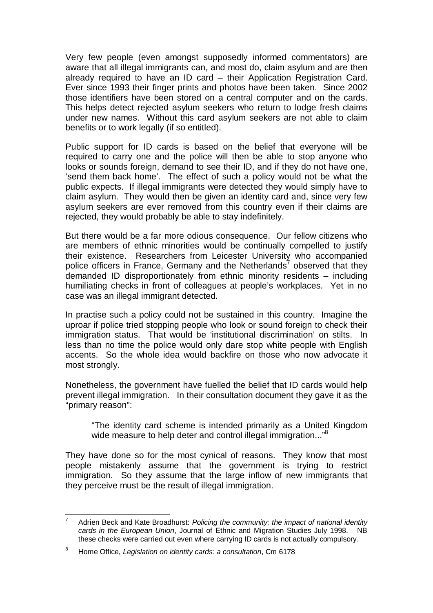Very few people (even amongst supposedly informed commentators) are aware that all illegal immigrants can, and most do, claim asylum and are then already required to have an ID card – their Application Registration Card. Ever since 1993 their finger prints and photos have been taken. Since 2002 those identifiers have been stored on a central computer and on the cards. This helps detect rejected asylum seekers who return to lodge fresh claims under new names. Without this card asylum seekers are not able to claim benefits or to work legally (if so entitled).

Public support for ID cards is based on the belief that everyone will be required to carry one and the police will then be able to stop anyone who looks or sounds foreign, demand to see their ID, and if they do not have one, 'send them back home'. The effect of such a policy would not be what the public expects. If illegal immigrants were detected they would simply have to claim asylum. They would then be given an identity card and, since very few asylum seekers are ever removed from this country even if their claims are rejected, they would probably be able to stay indefinitely.

But there would be a far more odious consequence. Our fellow citizens who are members of ethnic minorities would be continually compelled to justify their existence. Researchers from Leicester University who accompanied police officers in France, Germany and the Netherlands<sup>7</sup> observed that they demanded ID disproportionately from ethnic minority residents – including humiliating checks in front of colleagues at people's workplaces. Yet in no case was an illegal immigrant detected.

In practise such a policy could not be sustained in this country. Imagine the uproar if police tried stopping people who look or sound foreign to check their immigration status. That would be 'institutional discrimination' on stilts. In less than no time the police would only dare stop white people with English accents. So the whole idea would backfire on those who now advocate it most strongly.

Nonetheless, the government have fuelled the belief that ID cards would help prevent illegal immigration. In their consultation document they gave it as the "primary reason":

"The identity card scheme is intended primarily as a United Kingdom wide measure to help deter and control illegal immigration..."<sup>8</sup>

They have done so for the most cynical of reasons. They know that most people mistakenly assume that the government is trying to restrict immigration. So they assume that the large inflow of new immigrants that they perceive must be the result of illegal immigration.

<sup>7</sup> Adrien Beck and Kate Broadhurst: *Policing the community: the impact of national identity cards in the European Union*, Journal of Ethnic and Migration Studies July 1998. NB these checks were carried out even where carrying ID cards is not actually compulsory.

<sup>8</sup> Home Office, *Legislation on identity cards: a consultation*, Cm 6178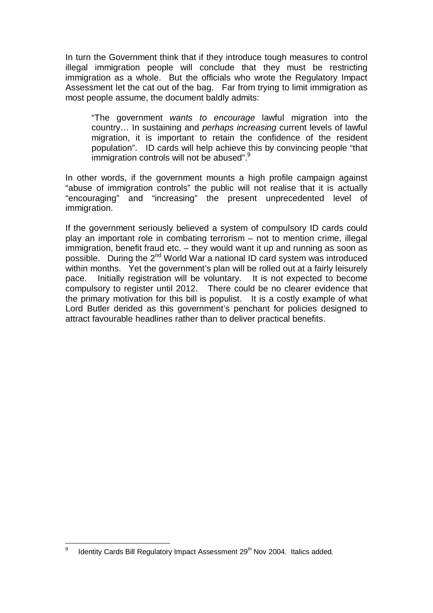In turn the Government think that if they introduce tough measures to control illegal immigration people will conclude that they must be restricting immigration as a whole. But the officials who wrote the Regulatory Impact Assessment let the cat out of the bag. Far from trying to limit immigration as most people assume, the document baldly admits:

"The government *wants to encourage* lawful migration into the country… In sustaining and *perhaps increasing* current levels of lawful migration, it is important to retain the confidence of the resident population". ID cards will help achieve this by convincing people "that immigration controls will not be abused".<sup>9</sup>

In other words, if the government mounts a high profile campaign against "abuse of immigration controls" the public will not realise that it is actually "encouraging" and "increasing" the present unprecedented level of immigration.

If the government seriously believed a system of compulsory ID cards could play an important role in combating terrorism – not to mention crime, illegal immigration, benefit fraud etc. – they would want it up and running as soon as possible. During the  $2^{nd}$  World War a national ID card system was introduced within months. Yet the government's plan will be rolled out at a fairly leisurely pace. Initially registration will be voluntary. It is not expected to become compulsory to register until 2012. There could be no clearer evidence that the primary motivation for this bill is populist. It is a costly example of what Lord Butler derided as this government's penchant for policies designed to attract favourable headlines rather than to deliver practical benefits.

<sup>9</sup> Identity Cards Bill Regulatory Impact Assessment 29<sup>th</sup> Nov 2004. Italics added.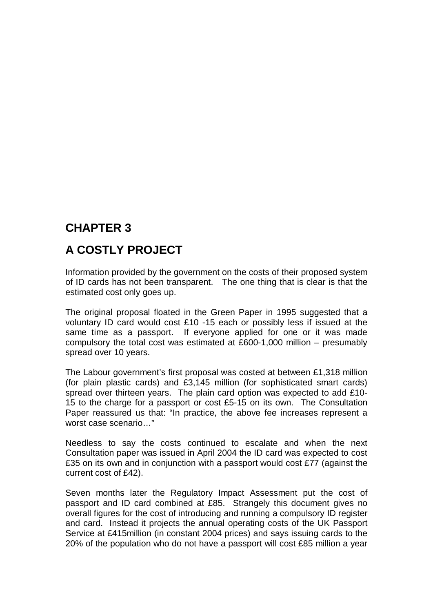## **A COSTLY PROJECT**

Information provided by the government on the costs of their proposed system of ID cards has not been transparent. The one thing that is clear is that the estimated cost only goes up.

The original proposal floated in the Green Paper in 1995 suggested that a voluntary ID card would cost £10 -15 each or possibly less if issued at the same time as a passport. If everyone applied for one or it was made compulsory the total cost was estimated at £600-1,000 million – presumably spread over 10 years.

The Labour government's first proposal was costed at between £1,318 million (for plain plastic cards) and £3,145 million (for sophisticated smart cards) spread over thirteen years. The plain card option was expected to add £10- 15 to the charge for a passport or cost £5-15 on its own. The Consultation Paper reassured us that: "In practice, the above fee increases represent a worst case scenario…"

Needless to say the costs continued to escalate and when the next Consultation paper was issued in April 2004 the ID card was expected to cost £35 on its own and in conjunction with a passport would cost £77 (against the current cost of £42).

Seven months later the Regulatory Impact Assessment put the cost of passport and ID card combined at £85. Strangely this document gives no overall figures for the cost of introducing and running a compulsory ID register and card. Instead it projects the annual operating costs of the UK Passport Service at £415million (in constant 2004 prices) and says issuing cards to the 20% of the population who do not have a passport will cost £85 million a year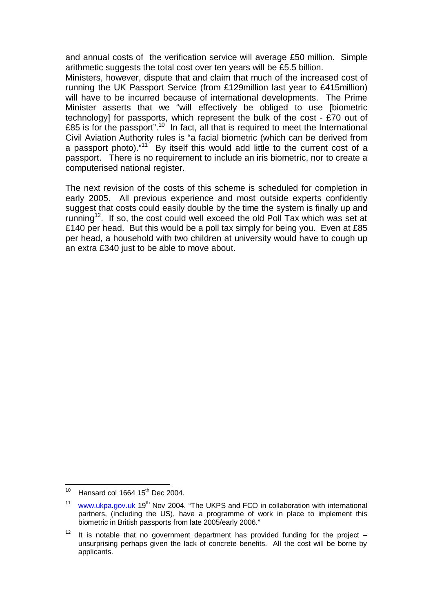and annual costs of the verification service will average £50 million. Simple arithmetic suggests the total cost over ten years will be £5.5 billion.

Ministers, however, dispute that and claim that much of the increased cost of running the UK Passport Service (from £129million last year to £415million) will have to be incurred because of international developments. The Prime Minister asserts that we "will effectively be obliged to use [biometric technology] for passports, which represent the bulk of the cost - £70 out of £85 is for the passport".<sup>10</sup> In fact, all that is required to meet the International Civil Aviation Authority rules is "a facial biometric (which can be derived from a passport photo). $11$  By itself this would add little to the current cost of a passport. There is no requirement to include an iris biometric, nor to create a computerised national register.

The next revision of the costs of this scheme is scheduled for completion in early 2005. All previous experience and most outside experts confidently suggest that costs could easily double by the time the system is finally up and running<sup>12</sup>. If so, the cost could well exceed the old Poll Tax which was set at £140 per head. But this would be a poll tax simply for being you. Even at £85 per head, a household with two children at university would have to cough up an extra £340 just to be able to move about.

<sup>&</sup>lt;sup>10</sup> Hansard col 1664 15<sup>th</sup> Dec 2004.

 $11$  [www.ukpa.gov.uk](http://www.ukpa.gov.uk) 19<sup>th</sup> Nov 2004. "The UKPS and FCO in collaboration with international partners, (including the US), have a programme of work in place to implement this biometric in British passports from late 2005/early 2006."

<sup>&</sup>lt;sup>12</sup> It is notable that no government department has provided funding for the project – unsurprising perhaps given the lack of concrete benefits. All the cost will be borne by applicants.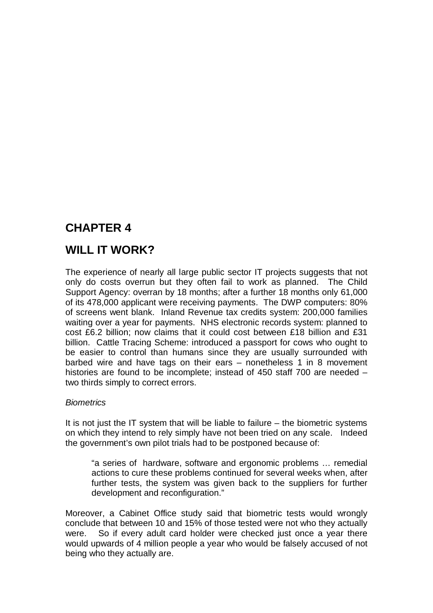## **WILL IT WORK?**

The experience of nearly all large public sector IT projects suggests that not only do costs overrun but they often fail to work as planned. The Child Support Agency: overran by 18 months; after a further 18 months only 61,000 of its 478,000 applicant were receiving payments. The DWP computers: 80% of screens went blank. Inland Revenue tax credits system: 200,000 families waiting over a year for payments. NHS electronic records system: planned to cost £6.2 billion; now claims that it could cost between £18 billion and £31 billion. Cattle Tracing Scheme: introduced a passport for cows who ought to be easier to control than humans since they are usually surrounded with barbed wire and have tags on their ears – nonetheless 1 in 8 movement histories are found to be incomplete; instead of 450 staff 700 are needed – two thirds simply to correct errors.

#### *Biometrics*

It is not just the IT system that will be liable to failure – the biometric systems on which they intend to rely simply have not been tried on any scale. Indeed the government's own pilot trials had to be postponed because of:

"a series of hardware, software and ergonomic problems … remedial actions to cure these problems continued for several weeks when, after further tests, the system was given back to the suppliers for further development and reconfiguration."

Moreover, a Cabinet Office study said that biometric tests would wrongly conclude that between 10 and 15% of those tested were not who they actually were. So if every adult card holder were checked just once a year there would upwards of 4 million people a year who would be falsely accused of not being who they actually are.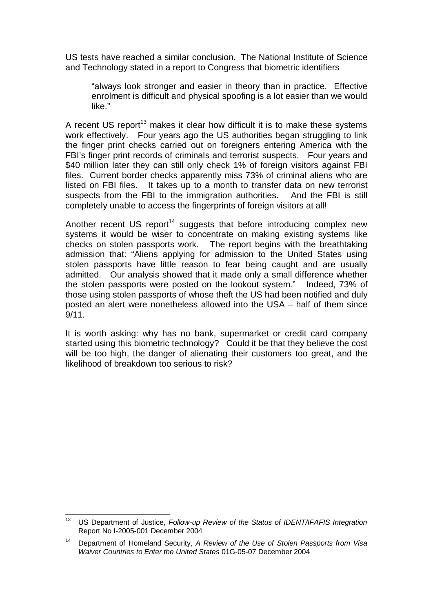US tests have reached a similar conclusion. The National Institute of Science and Technology stated in a report to Congress that biometric identifiers

"always look stronger and easier in theory than in practice. Effective enrolment is difficult and physical spoofing is a lot easier than we would like."

A recent US report<sup>13</sup> makes it clear how difficult it is to make these systems work effectively. Four years ago the US authorities began struggling to link the finger print checks carried out on foreigners entering America with the FBI's finger print records of criminals and terrorist suspects. Four years and \$40 million later they can still only check 1% of foreign visitors against FBI files. Current border checks apparently miss 73% of criminal aliens who are listed on FBI files. It takes up to a month to transfer data on new terrorist suspects from the FBI to the immigration authorities. And the FBI is still completely unable to access the fingerprints of foreign visitors at all!

Another recent US report<sup>14</sup> suggests that before introducing complex new systems it would be wiser to concentrate on making existing systems like checks on stolen passports work. The report begins with the breathtaking admission that: "Aliens applying for admission to the United States using stolen passports have little reason to fear being caught and are usually admitted. Our analysis showed that it made only a small difference whether the stolen passports were posted on the lookout system." Indeed, 73% of those using stolen passports of whose theft the US had been notified and duly posted an alert were nonetheless allowed into the USA – half of them since 9/11.

It is worth asking: why has no bank, supermarket or credit card company started using this biometric technology? Could it be that they believe the cost will be too high, the danger of alienating their customers too great, and the likelihood of breakdown too serious to risk?

<sup>13</sup> US Department of Justice, *Follow-up Review of the Status of IDENT/IFAFIS Integration* Report No I-2005-001 December 2004

<sup>14</sup> Department of Homeland Security, *A Review of the Use of Stolen Passports from Visa Waiver Countries to Enter the United States* 01G-05-07 December 2004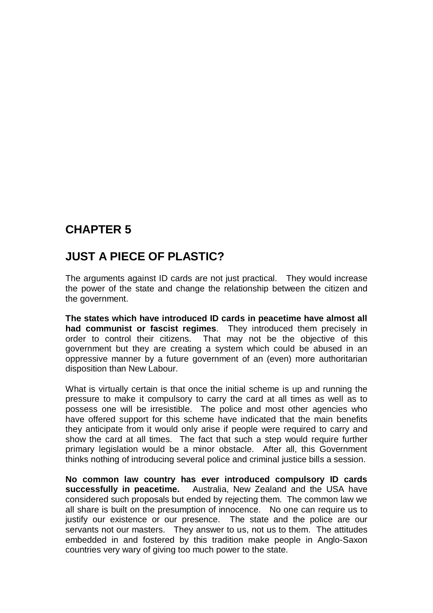## **JUST A PIECE OF PLASTIC?**

The arguments against ID cards are not just practical. They would increase the power of the state and change the relationship between the citizen and the government.

**The states which have introduced ID cards in peacetime have almost all had communist or fascist regimes**. They introduced them precisely in order to control their citizens. That may not be the objective of this government but they are creating a system which could be abused in an oppressive manner by a future government of an (even) more authoritarian disposition than New Labour.

What is virtually certain is that once the initial scheme is up and running the pressure to make it compulsory to carry the card at all times as well as to possess one will be irresistible. The police and most other agencies who have offered support for this scheme have indicated that the main benefits they anticipate from it would only arise if people were required to carry and show the card at all times. The fact that such a step would require further primary legislation would be a minor obstacle. After all, this Government thinks nothing of introducing several police and criminal justice bills a session.

**No common law country has ever introduced compulsory ID cards successfully in peacetime.** Australia, New Zealand and the USA have considered such proposals but ended by rejecting them. The common law we all share is built on the presumption of innocence. No one can require us to justify our existence or our presence. The state and the police are our servants not our masters. They answer to us, not us to them. The attitudes embedded in and fostered by this tradition make people in Anglo-Saxon countries very wary of giving too much power to the state.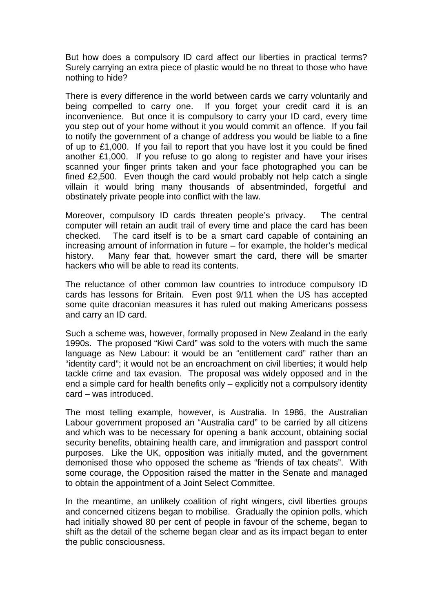But how does a compulsory ID card affect our liberties in practical terms? Surely carrying an extra piece of plastic would be no threat to those who have nothing to hide?

There is every difference in the world between cards we carry voluntarily and being compelled to carry one. If you forget your credit card it is an inconvenience. But once it is compulsory to carry your ID card, every time you step out of your home without it you would commit an offence. If you fail to notify the government of a change of address you would be liable to a fine of up to £1,000. If you fail to report that you have lost it you could be fined another £1,000. If you refuse to go along to register and have your irises scanned your finger prints taken and your face photographed you can be fined £2,500. Even though the card would probably not help catch a single villain it would bring many thousands of absentminded, forgetful and obstinately private people into conflict with the law.

Moreover, compulsory ID cards threaten people's privacy. The central computer will retain an audit trail of every time and place the card has been checked. The card itself is to be a smart card capable of containing an increasing amount of information in future – for example, the holder's medical history. Many fear that, however smart the card, there will be smarter hackers who will be able to read its contents.

The reluctance of other common law countries to introduce compulsory ID cards has lessons for Britain. Even post 9/11 when the US has accepted some quite draconian measures it has ruled out making Americans possess and carry an ID card.

Such a scheme was, however, formally proposed in New Zealand in the early 1990s. The proposed "Kiwi Card" was sold to the voters with much the same language as New Labour: it would be an "entitlement card" rather than an "identity card"; it would not be an encroachment on civil liberties; it would help tackle crime and tax evasion. The proposal was widely opposed and in the end a simple card for health benefits only – explicitly not a compulsory identity card – was introduced.

The most telling example, however, is Australia. In 1986, the Australian Labour government proposed an "Australia card" to be carried by all citizens and which was to be necessary for opening a bank account, obtaining social security benefits, obtaining health care, and immigration and passport control purposes. Like the UK, opposition was initially muted, and the government demonised those who opposed the scheme as "friends of tax cheats". With some courage, the Opposition raised the matter in the Senate and managed to obtain the appointment of a Joint Select Committee.

In the meantime, an unlikely coalition of right wingers, civil liberties groups and concerned citizens began to mobilise. Gradually the opinion polls, which had initially showed 80 per cent of people in favour of the scheme, began to shift as the detail of the scheme began clear and as its impact began to enter the public consciousness.